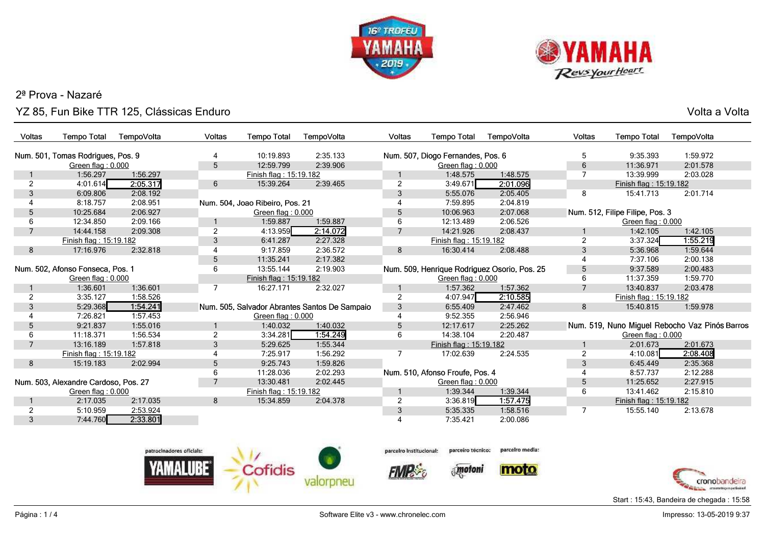



## 2ª Prova - NazaréYZ 85, Fun Bike TTR 125, Clássicas Enduro

Volta a Volta

| <b>Voltas</b>                    | <b>Tempo Total</b>                   | TempoVolta | <b>Voltas</b>  | <b>Tempo Total</b>              | TempoVolta                                    | Voltas         | <b>Tempo Total</b>                           | TempoVolta | <b>Voltas</b>  | <b>Tempo Total</b>              | TempoVolta                                     |
|----------------------------------|--------------------------------------|------------|----------------|---------------------------------|-----------------------------------------------|----------------|----------------------------------------------|------------|----------------|---------------------------------|------------------------------------------------|
|                                  | Num. 501, Tomas Rodrigues, Pos. 9    |            |                | 10:19.893                       | 2:35.133                                      |                | Num. 507, Diogo Fernandes, Pos. 6            |            | 5              | 9:35.393                        | 1:59.972                                       |
|                                  | Green flag: 0.000                    |            | 5              | 12:59.799                       | 2:39.906                                      |                | Green flag: 0.000                            |            | 6              | 11:36.971                       | 2:01.578                                       |
|                                  | 1:56.297                             | 1:56.297   |                | Finish flag: 15:19.182          |                                               |                | 1:48.575                                     | 1:48.575   | $\overline{7}$ | 13:39.999                       | 2:03.028                                       |
| $\mathcal{P}$                    | 4:01.614                             | 2:05.317   | 6              | 15:39.264                       | 2:39.465                                      | $\overline{2}$ | 3:49.671                                     | 2:01.096   |                | Finish flag: 15:19.182          |                                                |
| 3                                | 6:09.806                             | 2:08.192   |                |                                 |                                               | 3              | 5:55.076                                     | 2:05.405   | 8              | 15:41.713                       | 2:01.714                                       |
|                                  | 8:18.757                             | 2:08.951   |                | Num. 504, Joao Ribeiro, Pos. 21 |                                               |                | 7:59.895                                     | 2:04.819   |                |                                 |                                                |
| .5                               | 10:25.684                            | 2:06.927   |                | Green flag: 0.000               |                                               | 5              | 10:06.963                                    | 2:07.068   |                | Num. 512, Filipe Filipe, Pos. 3 |                                                |
|                                  | 12:34.850                            | 2:09.166   |                | 1:59.887                        | 1:59.887                                      | 6              | 12:13.489                                    | 2:06.526   |                | Green flag: 0.000               |                                                |
|                                  | 14:44.158                            | 2:09.308   | 2              | 4:13.959                        | 2:14.072                                      |                | 14:21.926                                    | 2:08.437   |                | 1:42.105                        | 1:42.105                                       |
|                                  | Finish flag: 15:19.182               |            | 3              | 6:41.287                        | 2:27.328                                      |                | Finish flag: 15:19.182                       |            | $\overline{2}$ | 3:37.324                        | 1:55.219                                       |
| 8                                | 17:16.976                            | 2:32.818   |                | 9:17.859                        | 2:36.572                                      | 8              | 16:30.414                                    | 2:08.488   | 3              | 5:36.968                        | 1:59.644                                       |
|                                  |                                      |            | 5              | 11:35.241                       | 2:17.382                                      |                |                                              |            |                | 7:37.106                        | 2:00.138                                       |
| Num. 502, Afonso Fonseca, Pos. 1 |                                      | 6          | 13:55.144      | 2:19.903                        |                                               |                | Num. 509, Henrique Rodriguez Osorio, Pos. 25 | 5          | 9:37.589       | 2:00.483                        |                                                |
|                                  | Green flag: $0.000$                  |            |                | Finish flag: 15:19.182          |                                               |                | Green flag: 0.000                            |            | 6              | 11:37.359                       | 1:59.770                                       |
|                                  | 1:36.601                             | 1:36.601   |                | 16:27.171                       | 2:32.027                                      |                | 1:57.362                                     | 1:57.362   | $\overline{7}$ | 13:40.837                       | 2:03.478                                       |
| 2                                | 3:35.127                             | 1:58.526   |                |                                 |                                               | 2              | 4:07.947                                     | 2:10.585   |                | Finish flag: 15:19.182          |                                                |
| 3                                | 5:29.368                             | 1:54.241   |                |                                 | Num. 505, Salvador Abrantes Santos De Sampaio | 3              | 6:55.409                                     | 2:47.462   | 8              | 15:40.815                       | 1:59.978                                       |
|                                  | 7:26.821                             | 1:57.453   |                | Green flag: 0.000               |                                               |                | 9:52.355                                     | 2:56.946   |                |                                 |                                                |
| 5                                | 9:21.837                             | 1:55.016   |                | 1:40.032                        | 1:40.032                                      | 5              | 12:17.617                                    | 2:25.262   |                |                                 | Num. 519, Nuno Miguel Rebocho Vaz Pinós Barros |
| 6                                | 11:18.371                            | 1:56.534   | 2              | 3:34.281                        | 1:54.249                                      | 6              | 14:38.104                                    | 2:20.487   |                | Green flag: 0.000               |                                                |
| $\overline{7}$                   | 13:16.189                            | 1:57.818   | 3              | 5:29.625                        | 1:55.344                                      |                | Finish flag: 15:19.182                       |            |                | 2:01.673                        | 2:01.673                                       |
|                                  | Finish flag: 15:19.182               |            |                | 7:25.917                        | 1:56.292                                      |                | 17:02.639                                    | 2:24.535   | $\overline{2}$ | 4:10.081                        | 2:08.408                                       |
| 8                                | 15:19.183                            | 2:02.994   | 5              | 9:25.743                        | 1:59.826                                      |                |                                              |            | 3              | 6:45.449                        | 2:35.368                                       |
|                                  |                                      |            | 6              | 11:28.036                       | 2:02.293                                      |                | Num. 510, Afonso Froute, Pos. 4              |            |                | 8:57.737                        | 2:12.288                                       |
|                                  | Num. 503, Alexandre Cardoso, Pos. 27 |            | $\overline{7}$ | 13:30.481                       | 2:02.445                                      |                | Green flag: 0.000                            |            | 5              | 11:25.652                       | 2:27.915                                       |
|                                  | Green flag: $0.000$                  |            |                | Finish flag: 15:19.182          |                                               |                | 1:39.344                                     | 1:39.344   | 6              | 13:41.462                       | 2:15.810                                       |
|                                  | 2:17.035                             | 2:17.035   | 8              | 15:34.859                       | 2:04.378                                      | $\overline{2}$ | 3:36.819                                     | 1:57.475   |                | Finish flag: 15:19.182          |                                                |
| $\overline{2}$                   | 5:10.959                             | 2:53.924   |                |                                 |                                               | 3              | 5:35.335                                     | 1:58.516   | $\overline{7}$ | 15:55.140                       | 2:13.678                                       |
| 3                                | 7:44.760                             | 2:33.801   |                |                                 |                                               |                | 7:35.421                                     | 2:00.086   |                |                                 |                                                |





**FMP** 



parcelro media:





Start : 15:43, Bandeira de chegada : 15:58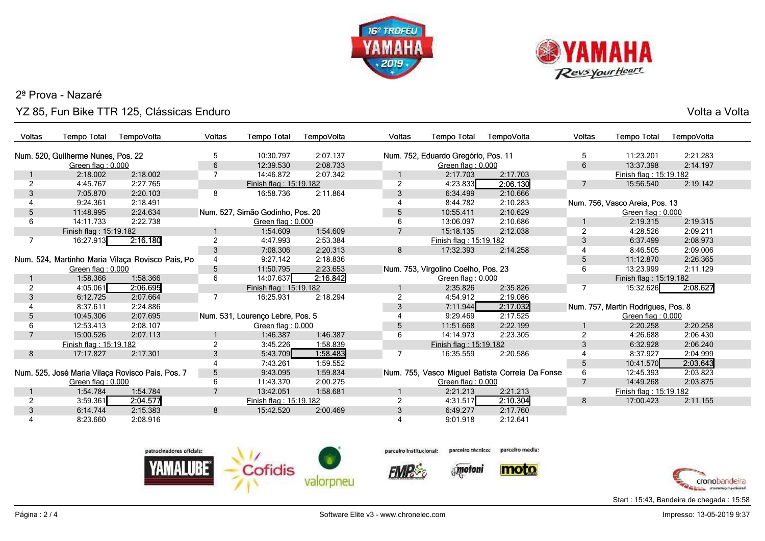



## 2ª Prova - NazaréYZ 85, Fun Bike TTR 125, Clássicas Enduro

Volta a Volta

| Voltas         | <b>Tempo Total</b>                 | TempoVolta                                       | Voltas         | <b>Tempo Total</b>               | TempoVolta | Voltas         | <b>Tempo Total</b>                  | TempoVolta                                      | <b>Voltas</b>  | <b>Tempo Total</b>                 | TempoVolta |
|----------------|------------------------------------|--------------------------------------------------|----------------|----------------------------------|------------|----------------|-------------------------------------|-------------------------------------------------|----------------|------------------------------------|------------|
|                |                                    |                                                  |                |                                  |            |                |                                     |                                                 |                |                                    |            |
|                | Num. 520, Guilherme Nunes, Pos. 22 |                                                  | 5              | 10:30.797                        | 2:07.137   |                | Num. 752, Eduardo Gregório, Pos. 11 |                                                 | 5              | 11:23.201                          | 2:21.283   |
|                | Green flag: 0.000                  |                                                  | 6              | 12:39.530<br>14:46.872           | 2:08.733   |                | Green flag: 0.000<br>2:17.703       |                                                 | 6              | 13:37.398                          | 2:14.197   |
|                | 2:18.002                           | 2:18.002                                         |                |                                  | 2:07.342   |                |                                     | 2:17.703                                        |                | Finish flag: 15:19.182             |            |
| 2              | 4:45.767                           | 2:27.765                                         |                | Finish flag: 15:19.182           |            | $\overline{2}$ | 4:23.833                            | 2:06.130                                        | $\overline{7}$ | 15:56.540                          | 2:19.142   |
| 3              | 7:05.870                           | 2:20.103                                         | 8              | 16:58.736                        | 2:11.864   | 3              | 6:34.499                            | 2:10.666                                        |                |                                    |            |
|                | 9:24.361                           | 2:18.491                                         |                |                                  |            |                | 8:44.782                            | 2:10.283                                        |                | Num. 756, Vasco Areia, Pos. 13     |            |
| 5              | 11:48.995                          | 2:24.634                                         |                | Num. 527, Simão Godinho, Pos. 20 |            | 5              | 10:55.411                           | 2:10.629                                        |                | Green flag: 0.000                  |            |
| 6              | 14:11.733                          | 2:22.738                                         |                | Green flag: 0.000                |            | 6              | 13:06.097                           | 2:10.686                                        |                | 2:19.315                           | 2:19.315   |
|                | Finish flag: 15:19.182             |                                                  |                | 1:54.609                         | 1:54.609   |                | 15:18.135                           | 2:12.038                                        | $\overline{2}$ | 4:28.526                           | 2:09.211   |
| 7              | 16:27.913                          | 2:16.180                                         | $\overline{2}$ | 4:47.993                         | 2:53.384   |                | Finish flag: 15:19.182              |                                                 | 3              | 6:37.499                           | 2:08.973   |
|                |                                    |                                                  | 3              | 7:08.306                         | 2:20.313   | 8              | 17:32.393                           | 2:14.258                                        |                | 8:46.505                           | 2:09.006   |
|                |                                    | Num. 524, Martinho Maria Vilaça Rovisco Pais, Po |                | 9:27.142                         | 2:18.836   |                |                                     |                                                 | $\overline{5}$ | 11:12.870                          | 2:26.365   |
|                | Green flag: 0.000                  |                                                  | 5              | 11:50.795                        | 2:23.653   |                | Num. 753, Virgolino Coelho, Pos. 23 |                                                 | 6              | 13:23.999                          | 2:11.129   |
|                | 1:58.366                           | 1:58.366                                         | 6              | 14:07.637                        | 2:16.842   |                | Green flag: 0.000                   |                                                 |                | Finish flag: 15:19.182             |            |
| 2              | 4:05.061                           | 2:06.695                                         |                | Finish flag: 15:19.182           |            |                | 2:35.826                            | 2:35.826                                        | 7              | 15:32.626                          | 2:08.627   |
| 3              | 6:12.725                           | 2:07.664                                         |                | 16:25.931                        | 2:18.294   |                | 4:54.912                            | 2:19.086                                        |                |                                    |            |
|                | 8:37.611                           | 2:24.886                                         |                |                                  |            | 3              | 7:11.944                            | 2:17.032                                        |                | Num. 757, Martin Rodrigues, Pos. 8 |            |
| 5              | 10:45.306                          | 2:07.695                                         |                | Num. 531, Lourenço Lebre, Pos. 5 |            |                | 9:29.469                            | 2:17.525                                        |                | Green flag: 0.000                  |            |
|                | 12:53.413                          | 2:08.107                                         |                | Green flag: 0.000                |            | 5              | 11:51.668                           | 2:22.199                                        |                | 2:20.258                           | 2:20.258   |
| $\overline{7}$ | 15:00.526                          | 2:07.113                                         |                | 1:46.387                         | 1:46.387   | 6              | 14:14.973                           | 2:23.305                                        | $\overline{2}$ | 4:26.688                           | 2:06.430   |
|                | Finish flag: 15:19.182             |                                                  | $\overline{2}$ | 3:45.226                         | 1:58.839   |                | Finish flag: 15:19.182              |                                                 | 3              | 6:32.928                           | 2:06.240   |
| 8              | 17:17.827                          | 2:17.301                                         | 3              | 5:43.709                         | 1:58.483   | $\overline{7}$ | 16:35.559                           | 2:20.586                                        |                | 8:37.927                           | 2:04.999   |
|                |                                    |                                                  |                | 7:43.261                         | 1:59.552   |                |                                     |                                                 | 5              | 10:41.570                          | 2:03.643   |
|                |                                    | Num. 525, José Maria Vilaça Rovisco Pais, Pos. 7 | 5              | 9:43.095                         | 1:59.834   |                |                                     | Num. 755, Vasco Miguel Batista Correia Da Fonse | 6              | 12:45.393                          | 2:03.823   |
|                | Green flag: 0.000                  |                                                  | 6              | 11:43.370                        | 2:00.275   |                | Green flag: 0.000                   |                                                 | $\overline{7}$ | 14:49.268                          | 2:03.875   |
|                | 1:54.784                           | 1:54.784                                         |                | 13:42.051                        | 1:58.681   |                | 2:21.213                            | 2:21.213                                        |                | Finish flag: 15:19.182             |            |
| 2              | 3:59.361                           | 2:04.577                                         |                | Finish flag: 15:19.182           |            |                | 4:31.517                            | 2:10.304                                        | 8              | 17:00.423                          | 2:11.155   |
| 3              | 6:14.744                           | 2:15.383                                         | 8              | 15:42.520                        | 2:00.469   | 3              | 6:49.277                            | 2:17.760                                        |                |                                    |            |
|                | 8:23.660                           | 2:08.916                                         |                |                                  |            |                | 9:01.918                            | 2:12.641                                        |                |                                    |            |
|                |                                    |                                                  |                |                                  |            |                |                                     |                                                 |                |                                    |            |









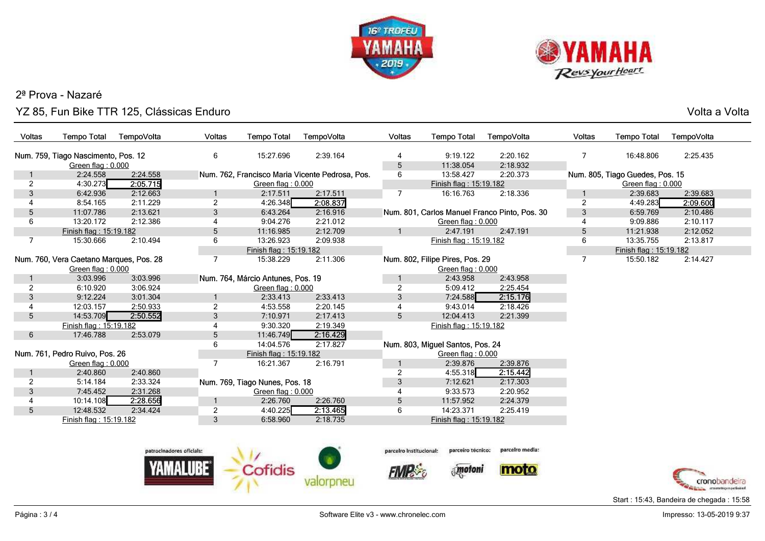



## 2ª Prova - NazaréYZ 85, Fun Bike TTR 125, Clássicas Enduro

Volta a Volta

| Voltas         | <b>Tempo Total</b>                                           | TempoVolta | Voltas                   | <b>Tempo Total</b>                | TempoVolta                                      | Voltas                  | <b>Tempo Total</b>                                   | TempoVolta                                    | Voltas         | <b>Tempo Total</b>              | TempoVolta |
|----------------|--------------------------------------------------------------|------------|--------------------------|-----------------------------------|-------------------------------------------------|-------------------------|------------------------------------------------------|-----------------------------------------------|----------------|---------------------------------|------------|
|                | Num. 759, Tiago Nascimento, Pos. 12<br>Green flag: 0.000     |            | 6                        | 15:27.696                         | 2:39.164                                        | 5                       | 9:19.122<br>11:38.054                                | 2:20.162<br>2:18.932                          | 7              | 16:48.806                       | 2:25.435   |
|                | 2:24.558                                                     | 2:24.558   |                          |                                   | Num. 762, Francisco Maria Vicente Pedrosa, Pos. | 6                       | 13:58.427                                            | 2:20.373                                      |                | Num. 805, Tiago Guedes, Pos. 15 |            |
| $\overline{2}$ | 4:30.273                                                     | 2:05.715   |                          | Green flag: 0.000                 |                                                 |                         | Finish flag: 15:19.182                               |                                               |                | Green flag: 0.000               |            |
| 3              | 6:42.936                                                     | 2:12.663   |                          | 2:17.511                          | 2:17.511                                        | 7                       | 16:16.763                                            | 2:18.336                                      |                | 2:39.683                        | 2:39.683   |
| 4              | 8:54.165                                                     | 2:11.229   | $\overline{2}$           | 4:26.348                          | 2:08.837                                        |                         |                                                      |                                               | $\overline{2}$ | 4:49.283                        | 2:09.600   |
| 5              | 11:07.786                                                    | 2:13.621   | 3                        | 6:43.264                          | 2:16.916                                        |                         |                                                      | Num. 801, Carlos Manuel Franco Pinto, Pos. 30 | 3              | 6:59.769                        | 2:10.486   |
| 6              | 13:20.172                                                    | 2:12.386   |                          | 9:04.276                          | 2:21.012                                        |                         | Green flag: 0.000                                    |                                               | 4              | 9:09.886                        | 2:10.117   |
|                | Finish flag: 15:19.182                                       |            | 5                        | 11:16.985                         | 2:12.709                                        |                         | 2:47.191                                             | 2:47.191                                      | 5              | 11:21.938                       | 2:12.052   |
| $\overline{7}$ | 15:30.666                                                    | 2:10.494   | 6                        | 13:26.923                         | 2:09.938                                        |                         | Finish flag: 15:19.182                               |                                               | 6              | 13:35.755                       | 2:13.817   |
|                |                                                              |            |                          | Finish flag: 15:19.182            |                                                 |                         |                                                      |                                               |                | Finish flag: 15:19.182          |            |
|                | Num. 760, Vera Caetano Marques, Pos. 28<br>Green flag: 0.000 |            | 7                        | 15:38.229                         | 2:11.306                                        |                         | Num. 802, Filipe Pires, Pos. 29<br>Green flag: 0.000 |                                               | 7              | 15:50.182                       | 2:14.427   |
|                | 3:03.996                                                     | 3:03.996   |                          | Num. 764, Márcio Antunes, Pos. 19 |                                                 |                         | 2:43.958                                             | 2:43.958                                      |                |                                 |            |
| $\overline{c}$ | 6:10.920                                                     | 3:06.924   |                          | Green flag: 0.000                 |                                                 | $\overline{2}$          | 5:09.412                                             | 2:25.454                                      |                |                                 |            |
| 3              | 9:12.224                                                     | 3:01.304   | 1                        | 2:33.413                          | 2:33.413                                        | 3                       | 7:24.588                                             | 2:15.176                                      |                |                                 |            |
|                | 12:03.157                                                    | 2:50.933   | $\overline{2}$           | 4:53.558                          | 2:20.145                                        |                         | 9:43.014                                             | 2:18.426                                      |                |                                 |            |
| 5 <sup>5</sup> | 14:53.709                                                    | 2:50.552   | 3                        | 7:10.971                          | 2:17.413                                        | 5                       | 12:04.413                                            | 2:21.399                                      |                |                                 |            |
|                | Finish flag: 15:19.182                                       |            |                          | 9:30.320                          | 2:19.349                                        |                         | Finish flag: 15:19.182                               |                                               |                |                                 |            |
| 6              | 17:46.788                                                    | 2:53.079   | 5                        | 11:46.749                         | 2:16.429                                        |                         |                                                      |                                               |                |                                 |            |
|                |                                                              |            | 6                        | 14:04.576                         | 2:17.827                                        |                         | Num. 803, Miguel Santos, Pos. 24                     |                                               |                |                                 |            |
|                | Num. 761, Pedro Ruivo, Pos. 26                               |            |                          | Finish flag: 15:19.182            |                                                 |                         | Green flag: 0.000                                    |                                               |                |                                 |            |
|                | Green flag: 0.000                                            |            | $\overline{7}$           | 16:21.367                         | 2:16.791                                        |                         | 2:39.876                                             | 2:39.876                                      |                |                                 |            |
|                | 2:40.860                                                     | 2:40.860   |                          |                                   |                                                 | $\overline{2}$          | 4:55.318                                             | 2:15.442                                      |                |                                 |            |
| $\overline{2}$ | 5:14.184                                                     | 2:33.324   |                          | Num. 769, Tiago Nunes, Pos. 18    |                                                 | 3                       | 7:12.621                                             | 2:17.303                                      |                |                                 |            |
| 3              | 7:45.452                                                     | 2:31.268   |                          | Green flag: 0.000                 |                                                 |                         | 9:33.573                                             | 2:20.952                                      |                |                                 |            |
| 4              | 10:14.108                                                    | 2:28.656   |                          | 2:26.760                          | 2:26.760                                        | 5                       | 11:57.952                                            | 2:24.379                                      |                |                                 |            |
| 5 <sup>5</sup> | 12:48.532                                                    | 2:34.424   | $\overline{c}$           | 4:40.225                          | 2:13.465                                        | 6                       | 14:23.371                                            | 2:25.419                                      |                |                                 |            |
|                | Finish flag: 15:19.182                                       |            | 3                        | 6:58.960                          | 2:18.735                                        |                         | Finish flag: 15:19.182                               |                                               |                |                                 |            |
|                |                                                              |            | patrocinadores oficials: | $\mathcal{L}$                     |                                                 | parceiro institucional: | parceiro tecnico:                                    | parcelro media:                               |                |                                 |            |





**FIMPS** 



*<u>Motoni</u>* 





Start : 15:43, Bandeira de chegada : 15:58